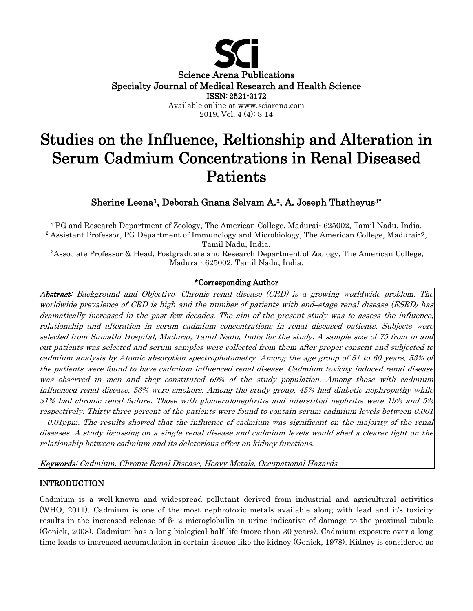

# Studies on the Influence, Reltionship and Alteration in Serum Cadmium Concentrations in Renal Diseased Patients

Sherine Leena1, Deborah Gnana Selvam A.2, A. Joseph Thatheyus3\*

<sup>1</sup> PG and Research Department of Zoology, The American College, Madurai<sup>-</sup> 625002, Tamil Nadu, India. <sup>2</sup> Assistant Professor, PG Department of Immunology and Microbiology, The American College, Madurai-2, Tamil Nadu, India.

<sup>3</sup>Associate Professor & Head, Postgraduate and Research Department of Zoology, The American College, Madurai- 625002, Tamil Nadu, India.

## \*Corresponding Author

Abstract: Background and Objective: Chronic renal disease (CRD) is a growing worldwide problem. The worldwide prevalence of CRD is high and the number of patients with end–stage renal disease (ESRD) has dramatically increased in the past few decades. The aim of the present study was to assess the influence, relationship and alteration in serum cadmium concentrations in renal diseased patients. Subjects were selected from Sumathi Hospital, Madurai, Tamil Nadu, India for the study. A sample size of 75 from in and out-patients was selected and serum samples were collected from them after proper consent and subjected to cadmium analysis by Atomic absorption spectrophotometry. Among the age group of 51 to 60 years, 53% of the patients were found to have cadmium influenced renal disease. Cadmium toxicity induced renal disease was observed in men and they constituted 69% of the study population. Among those with cadmium influenced renal disease, 56% were smokers. Among the study group, 45% had diabetic nephropathy while 31% had chronic renal failure. Those with glomerulonephritis and interstitial nephritis were 19% and 5% respectively. Thirty three percent of the patients were found to contain serum cadmium levels between 0.001 – 0.01ppm. The results showed that the influence of cadmium was significant on the majority of the renal diseases. A study focussing on a single renal disease and cadmium levels would shed a clearer light on the relationship between cadmium and its deleterious effect on kidney functions.

Keywords: Cadmium, Chronic Renal Disease, Heavy Metals, Occupational Hazards

## INTRODUCTION

Cadmium is a well-known and widespread pollutant derived from industrial and agricultural activities (WHO, 2011). Cadmium is one of the most nephrotoxic metals available along with lead and it's toxicity results in the increased release of β- 2 microglobulin in urine indicative of damage to the proximal tubule (Gonick, 2008). Cadmium has a long biological half life (more than 30 years). Cadmium exposure over a long time leads to increased accumulation in certain tissues like the kidney (Gonick, 1978). Kidney is considered as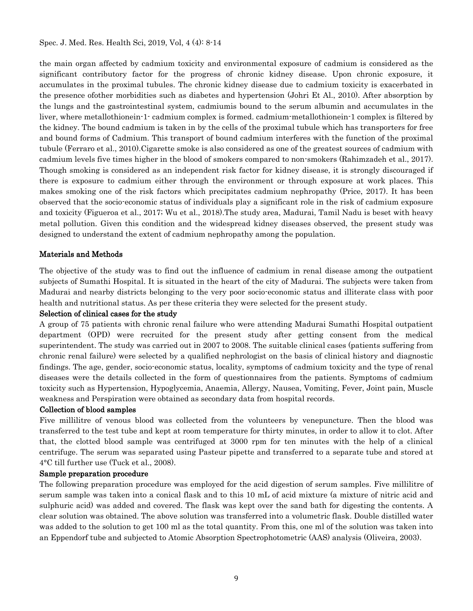## Spec. J. Med. Res. Health Sci, 2019, Vol, 4 (4): 8-14

the main organ affected by cadmium toxicity and environmental exposure of cadmium is considered as the significant contributory factor for the progress of chronic kidney disease. Upon chronic exposure, it accumulates in the proximal tubules. The chronic kidney disease due to cadmium toxicity is exacerbated in the presence ofother morbidities such as diabetes and hypertension (Johri Et Al., 2010). After absorption by the lungs and the gastrointestinal system, cadmiumis bound to the serum albumin and accumulates in the liver, where metallothionein-1- cadmium complex is formed. cadmium-metallothionein-1 complex is filtered by the kidney. The bound cadmium is taken in by the cells of the proximal tubule which has transporters for free and bound forms of Cadmium. This transport of bound cadmium interferes with the function of the proximal tubule (Ferraro et al., 2010).Cigarette smoke is also considered as one of the greatest sources of cadmium with cadmium levels five times higher in the blood of smokers compared to non-smokers (Rahimzadeh et al., 2017). Though smoking is considered as an independent risk factor for kidney disease, it is strongly discouraged if there is exposure to cadmium either through the environment or through exposure at work places. This makes smoking one of the risk factors which precipitates cadmium nephropathy (Price, 2017). It has been observed that the socio-economic status of individuals play a significant role in the risk of cadmium exposure and toxicity (Figueroa et al., 2017; Wu et al., 2018).The study area, Madurai, Tamil Nadu is beset with heavy metal pollution. Given this condition and the widespread kidney diseases observed, the present study was designed to understand the extent of cadmium nephropathy among the population.

## Materials and Methods

The objective of the study was to find out the influence of cadmium in renal disease among the outpatient subjects of Sumathi Hospital. It is situated in the heart of the city of Madurai. The subjects were taken from Madurai and nearby districts belonging to the very poor socio-economic status and illiterate class with poor health and nutritional status. As per these criteria they were selected for the present study.

## Selection of clinical cases for the study

A group of 75 patients with chronic renal failure who were attending Madurai Sumathi Hospital outpatient department (OPD) were recruited for the present study after getting consent from the medical superintendent. The study was carried out in 2007 to 2008. The suitable clinical cases (patients suffering from chronic renal failure) were selected by a qualified nephrologist on the basis of clinical history and diagnostic findings. The age, gender, socio-economic status, locality, symptoms of cadmium toxicity and the type of renal diseases were the details collected in the form of questionnaires from the patients. Symptoms of cadmium toxicity such as Hypertension, Hypoglycemia, Anaemia, Allergy, Nausea, Vomiting, Fever, Joint pain, Muscle weakness and Perspiration were obtained as secondary data from hospital records.

## Collection of blood samples

Five millilitre of venous blood was collected from the volunteers by venepuncture. Then the blood was transferred to the test tube and kept at room temperature for thirty minutes, in order to allow it to clot. After that, the clotted blood sample was centrifuged at 3000 rpm for ten minutes with the help of a clinical centrifuge. The serum was separated using Pasteur pipette and transferred to a separate tube and stored at 4°C till further use (Tuck et al., 2008).

## Sample preparation procedure

The following preparation procedure was employed for the acid digestion of serum samples. Five millilitre of serum sample was taken into a conical flask and to this 10 mL of acid mixture (a mixture of nitric acid and sulphuric acid) was added and covered. The flask was kept over the sand bath for digesting the contents. A clear solution was obtained. The above solution was transferred into a volumetric flask. Double distilled water was added to the solution to get 100 ml as the total quantity. From this, one ml of the solution was taken into an Eppendorf tube and subjected to Atomic Absorption Spectrophotometric (AAS) analysis (Oliveira, 2003).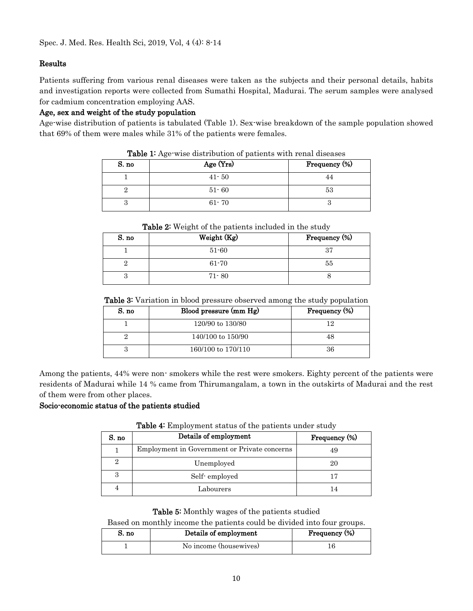## Results

Patients suffering from various renal diseases were taken as the subjects and their personal details, habits and investigation reports were collected from Sumathi Hospital, Madurai. The serum samples were analysed for cadmium concentration employing AAS.

## Age, sex and weight of the study population

Age-wise distribution of patients is tabulated (Table 1). Sex-wise breakdown of the sample population showed that 69% of them were males while 31% of the patients were females.

| S. no | Age (Yrs) | Frequency (%) |
|-------|-----------|---------------|
|       | $41 - 50$ |               |
|       | $51 - 60$ | 53            |
|       | $61 - 70$ |               |

Table 1: Age-wise distribution of patients with renal diseases

| <b>Table 2:</b> Weight of the patients included in the study |             |               |
|--------------------------------------------------------------|-------------|---------------|
| S. no                                                        | Weight (Kg) | Frequency (%) |
|                                                              | $51 - 60$   | 37            |
|                                                              | $61 - 70$   | 55            |
| 3                                                            | $71 - 80$   |               |

Table 3: Variation in blood pressure observed among the study population

| S. no | Blood pressure (mm Hg) | Frequency (%) |
|-------|------------------------|---------------|
|       | 120/90 to 130/80       | 19            |
|       | 140/100 to 150/90      | 48            |
|       | 160/100 to 170/110     | 36            |

Among the patients, 44% were non- smokers while the rest were smokers. Eighty percent of the patients were residents of Madurai while 14 % came from Thirumangalam, a town in the outskirts of Madurai and the rest of them were from other places.

## Socio-economic status of the patients studied

| S. no | Details of employment                        | Frequency (%) |
|-------|----------------------------------------------|---------------|
|       | Employment in Government or Private concerns | 49            |
| 2     | Unemployed                                   | 20            |
| 3     | Self-employed                                |               |
|       | Labourers                                    |               |

Table 4: Employment status of the patients under study

Table 5: Monthly wages of the patients studied

Based on monthly income the patients could be divided into four groups.

| S. no | Details of employment  | Frequency (%) |
|-------|------------------------|---------------|
|       | No income (housewives) |               |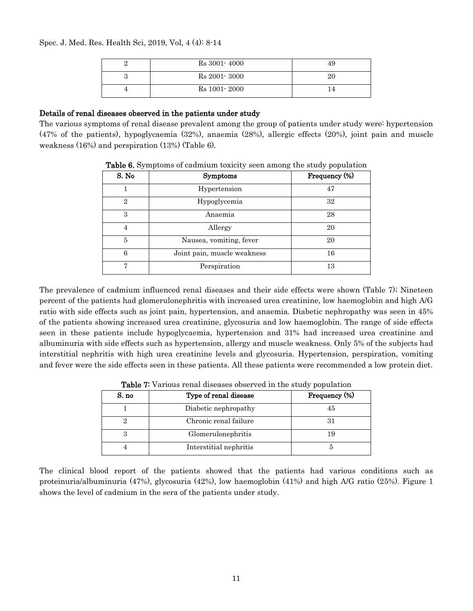Spec. J. Med. Res. Health Sci, 2019, Vol, 4 (4): 8-14

|  | $Rs 3001 - 4000$ | 49 |
|--|------------------|----|
|  | $Rs 2001 - 3000$ | 20 |
|  | Rs 1001 - 2000   |    |

## Details of renal diseases observed in the patients under study

The various symptoms of renal disease prevalent among the group of patients under study were: hypertension (47% of the patients), hypoglycaemia (32%), anaemia (28%), allergic effects (20%), joint pain and muscle weakness (16%) and perspiration (13%) (Table 6).

| S. No          | <b>Symptoms</b>             | Frequency (%) |
|----------------|-----------------------------|---------------|
|                | Hypertension                | 47            |
| $\overline{2}$ | Hypoglycemia                | 32            |
| 3              | Anaemia                     | 28            |
| 4              | Allergy                     | 20            |
| 5              | Nausea, vomiting, fever     | 20            |
| 6              | Joint pain, muscle weakness | 16            |
| ,              | Perspiration                | 13            |

Table 6. Symptoms of cadmium toxicity seen among the study population

The prevalence of cadmium influenced renal diseases and their side effects were shown (Table 7); Nineteen percent of the patients had glomerulonephritis with increased urea creatinine, low haemoglobin and high A/G ratio with side effects such as joint pain, hypertension, and anaemia. Diabetic nephropathy was seen in 45% of the patients showing increased urea creatinine, glycosuria and low haemoglobin. The range of side effects seen in these patients include hypoglycaemia, hypertension and 31% had increased urea creatinine and albuminuria with side effects such as hypertension, allergy and muscle weakness. Only 5% of the subjects had interstitial nephritis with high urea creatinine levels and glycosuria. Hypertension, perspiration, vomiting and fever were the side effects seen in these patients. All these patients were recommended a low protein diet.

| S. no | Type of renal disease  | Frequency (%) |
|-------|------------------------|---------------|
|       | Diabetic nephropathy   | 45            |
|       | Chronic renal failure  |               |
| З     | Glomerulonephritis     |               |
|       | Interstitial nephritis |               |

**Table 7:** Various renal diseases observed in the study population

The clinical blood report of the patients showed that the patients had various conditions such as proteinuria/albuminuria (47%), glycosuria (42%), low haemoglobin (41%) and high A/G ratio (25%). Figure 1 shows the level of cadmium in the sera of the patients under study.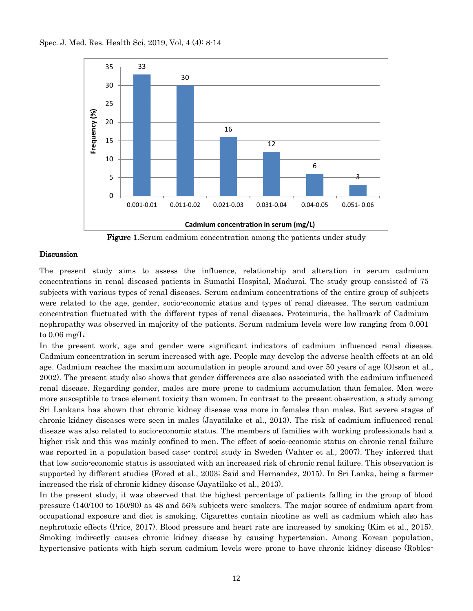

Figure 1. Serum cadmium concentration among the patients under study

## **Discussion**

The present study aims to assess the influence, relationship and alteration in serum cadmium concentrations in renal diseased patients in Sumathi Hospital, Madurai. The study group consisted of 75 subjects with various types of renal diseases. Serum cadmium concentrations of the entire group of subjects were related to the age, gender, socio-economic status and types of renal diseases. The serum cadmium concentration fluctuated with the different types of renal diseases. Proteinuria, the hallmark of Cadmium nephropathy was observed in majority of the patients. Serum cadmium levels were low ranging from 0.001 to 0.06 mg/L.

In the present work, age and gender were significant indicators of cadmium influenced renal disease. Cadmium concentration in serum increased with age. People may develop the adverse health effects at an old age. Cadmium reaches the maximum accumulation in people around and over 50 years of age (Olsson et al., 2002). The present study also shows that gender differences are also associated with the cadmium influenced renal disease. Regarding gender, males are more prone to cadmium accumulation than females. Men were more susceptible to trace element toxicity than women. In contrast to the present observation, a study among Sri Lankans has shown that chronic kidney disease was more in females than males. But severe stages of chronic kidney diseases were seen in males (Jayatilake et al., 2013). The risk of cadmium influenced renal disease was also related to socio-economic status. The members of families with working professionals had a higher risk and this was mainly confined to men. The effect of socio-economic status on chronic renal failure was reported in a population based case- control study in Sweden (Vahter et al., 2007). They inferred that that low socio-economic status is associated with an increased risk of chronic renal failure. This observation is supported by different studies (Fored et al., 2003; Said and Hernandez, 2015). In Sri Lanka, being a farmer increased the risk of chronic kidney disease (Jayatilake et al., 2013).

In the present study, it was observed that the highest percentage of patients falling in the group of blood pressure (140/100 to 150/90) as 48 and 56% subjects were smokers. The major source of cadmium apart from occupational exposure and diet is smoking. Cigarettes contain nicotine as well as cadmium which also has nephrotoxic effects (Price, 2017). Blood pressure and heart rate are increased by smoking (Kim et al., 2015). Smoking indirectly causes chronic kidney disease by causing hypertension. Among Korean population, hypertensive patients with high serum cadmium levels were prone to have chronic kidney disease (Robles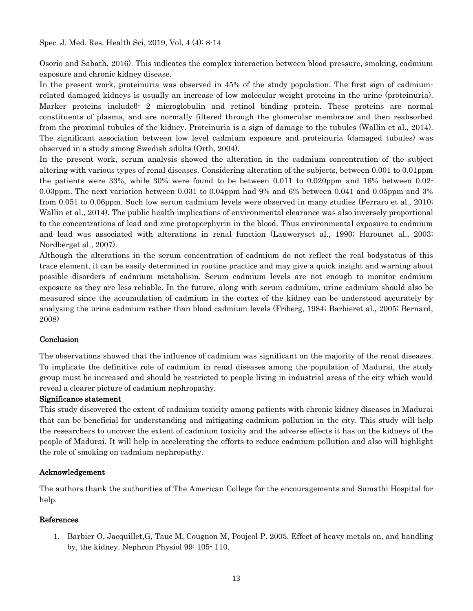Osorio and Sabath, 2016). This indicates the complex interaction between blood pressure, smoking, cadmium exposure and chronic kidney disease.

In the present work, proteinuria was observed in 45% of the study population. The first sign of cadmiumrelated damaged kidneys is usually an increase of low molecular weight proteins in the urine (proteinuria). Marker proteins includeß 2 microglobulin and retinol binding protein. These proteins are normal constituents of plasma, and are normally filtered through the glomerular membrane and then reabsorbed from the proximal tubules of the kidney. Proteinuria is a sign of damage to the tubules (Wallin et al., 2014). The significant association between low level cadmium exposure and proteinuria (damaged tubules) was observed in a study among Swedish adults (Orth, 2004).

In the present work, serum analysis showed the alteration in the cadmium concentration of the subject altering with various types of renal diseases. Considering alteration of the subjects, between 0.001 to 0.01ppm the patients were 33%, while 30% were found to be between 0.011 to 0.020ppm and 16% between 0.02-0.03ppm. The next variation between 0.031 to 0.04ppm had 9% and 6% between 0.041 and 0.05ppm and 3% from 0.051 to 0.06ppm. Such low serum cadmium levels were observed in many studies (Ferraro et al., 2010; Wallin et al., 2014). The public health implications of environmental clearance was also inversely proportional to the concentrations of lead and zinc protoporphyrin in the blood. Thus environmental exposure to cadmium and lead was associated with alterations in renal function (Lauweryset al., 1990; Harounet al., 2003; Nordberget al., 2007).

Although the alterations in the serum concentration of cadmium do not reflect the real bodystatus of this trace element, it can be easily determined in routine practice and may give a quick insight and warning about possible disorders of cadmium metabolism. Serum cadmium levels are not enough to monitor cadmium exposure as they are less reliable. In the future, along with serum cadmium, urine cadmium should also be measured since the accumulation of cadmium in the cortex of the kidney can be understood accurately by analysing the urine cadmium rather than blood cadmium levels (Friberg, 1984; Barbieret al., 2005; Bernard, 2008)

## **Conclusion**

The observations showed that the influence of cadmium was significant on the majority of the renal diseases. To implicate the definitive role of cadmium in renal diseases among the population of Madurai, the study group must be increased and should be restricted to people living in industrial areas of the city which would reveal a clearer picture of cadmium nephropathy.

## Significance statement

This study discovered the extent of cadmium toxicity among patients with chronic kidney diseases in Madurai that can be beneficial for understanding and mitigating cadmium pollution in the city. This study will help the researchers to uncover the extent of cadmium toxicity and the adverse effects it has on the kidneys of the people of Madurai. It will help in accelerating the efforts to reduce cadmium pollution and also will highlight the role of smoking on cadmium nephropathy.

## Acknowledgement

The authors thank the authorities of The American College for the encouragements and Sumathi Hospital for help.

#### References

1. Barbier O, Jacquillet,G, Tauc M, Cougnon M, Poujeol P. 2005. Effect of heavy metals on, and handling by, the kidney. Nephron Physiol 99: 105- 110.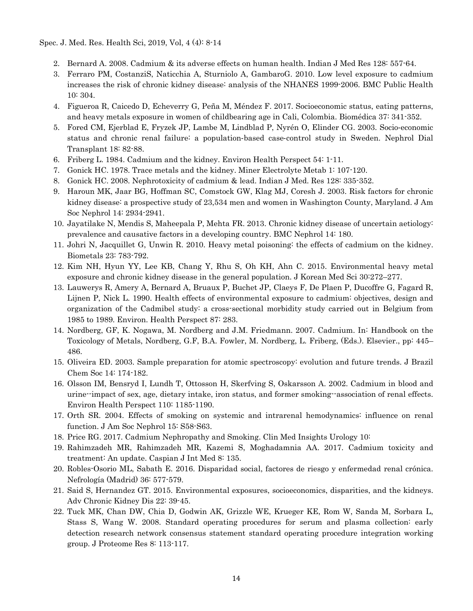Spec. J. Med. Res. Health Sci, 2019, Vol, 4 (4): 8-14

- 2. Bernard A. 2008. Cadmium & its adverse effects on human health. Indian J Med Res 128: 557-64.
- 3. Ferraro PM, CostanziS, Naticchia A, Sturniolo A, GambaroG. 2010. Low level exposure to cadmium increases the risk of chronic kidney disease: analysis of the NHANES 1999-2006. BMC Public Health 10: 304.
- 4. Figueroa R, Caicedo D, Echeverry G, Peña M, Méndez F. 2017. Socioeconomic status, eating patterns, and heavy metals exposure in women of childbearing age in Cali, Colombia. Biomédica 37: 341-352.
- 5. Fored CM, Ejerblad E, Fryzek JP, Lambe M, Lindblad P, Nyrén O, Elinder CG. 2003. Socio‐economic status and chronic renal failure: a population‐based case‐control study in Sweden. Nephrol Dial Transplant 18: 82-88.
- 6. Friberg L. 1984. Cadmium and the kidney. Environ Health Perspect 54: 1-11.
- 7. Gonick HC. 1978. Trace metals and the kidney. Miner Electrolyte Metab 1: 107-120.
- 8. Gonick HC. 2008. Nephrotoxicity of cadmium & lead. Indian J Med. Res 128: 335-352.
- 9. Haroun MK, Jaar BG, Hoffman SC, Comstock GW, Klag MJ, Coresh J. 2003. Risk factors for chronic kidney disease: a prospective study of 23,534 men and women in Washington County, Maryland. J Am Soc Nephrol 14: 2934-2941.
- 10. Jayatilake N, Mendis S, Maheepala P, Mehta FR. 2013. Chronic kidney disease of uncertain aetiology: prevalence and causative factors in a developing country. BMC Nephrol 14: 180.
- 11. Johri N, Jacquillet G, Unwin R. 2010. Heavy metal poisoning: the effects of cadmium on the kidney. Biometals 23: 783-792.
- 12. Kim NH, Hyun YY, Lee KB, Chang Y, Rhu S, Oh KH, Ahn C. 2015. Environmental heavy metal exposure and chronic kidney disease in the general population. J Korean Med Sci 30:272–277.
- 13. Lauwerys R, Amery A, Bernard A, Bruaux P, Buchet JP, Claeys F, De Plaen P, Ducoffre G, Fagard R, Lijnen P, Nick L. 1990. Health effects of environmental exposure to cadmium: objectives, design and organization of the Cadmibel study: a cross-sectional morbidity study carried out in Belgium from 1985 to 1989. Environ. Health Perspect 87: 283.
- 14. Nordberg, GF, K. Nogawa, M. Nordberg and J.M. Friedmann. 2007. Cadmium. In: Handbook on the Toxicology of Metals, Nordberg, G.F, B.A. Fowler, M. Nordberg, L. Friberg, (Eds.). Elsevier., pp: 445– 486.
- 15. Oliveira ED. 2003. Sample preparation for atomic spectroscopy: evolution and future trends. J Brazil Chem Soc 14: 174-182.
- 16. Olsson IM, Bensryd I, Lundh T, Ottosson H, Skerfving S, Oskarsson A. 2002. Cadmium in blood and urine--impact of sex, age, dietary intake, iron status, and former smoking--association of renal effects. Environ Health Perspect 110: 1185-1190.
- 17. Orth SR. 2004. Effects of smoking on systemic and intrarenal hemodynamics: influence on renal function. J Am Soc Nephrol 15: S58-S63.
- 18. Price RG. 2017. Cadmium Nephropathy and Smoking. Clin Med Insights Urology 10:
- 19. Rahimzadeh MR, Rahimzadeh MR, Kazemi S, Moghadamnia AA. 2017. Cadmium toxicity and treatment: An update. Caspian J Int Med 8: 135.
- 20. Robles-Osorio ML, Sabath E. 2016. Disparidad social, factores de riesgo y enfermedad renal crónica. Nefrología (Madrid) 36: 577-579.
- 21. Said S, Hernandez GT. 2015. Environmental exposures, socioeconomics, disparities, and the kidneys. Adv Chronic Kidney Dis 22: 39-45.
- 22. Tuck MK, Chan DW, Chia D, Godwin AK, Grizzle WE, Krueger KE, Rom W, Sanda M, Sorbara L, Stass S, Wang W. 2008. Standard operating procedures for serum and plasma collection: early detection research network consensus statement standard operating procedure integration working group. J Proteome Res 8: 113-117.